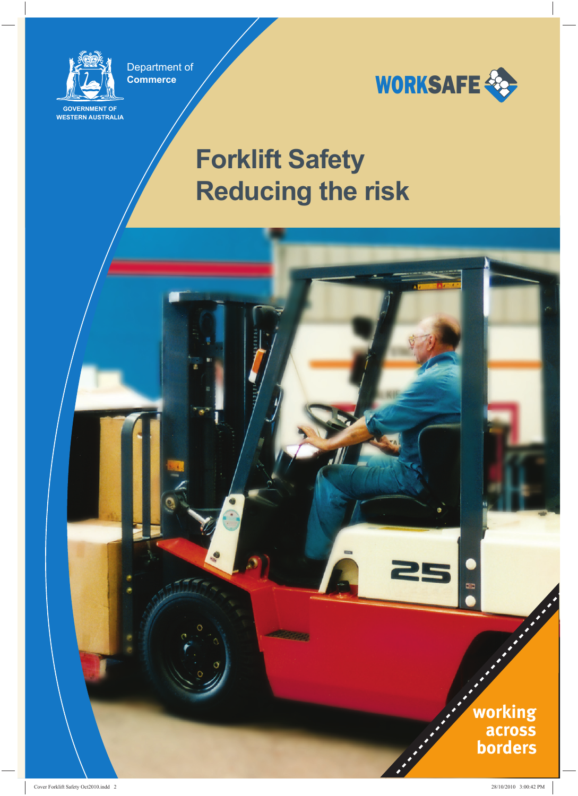

Department of **Commerce**

**GOVERNMENT OF WESTERN AUSTRALIA**



## **Forklift Safety Reducing the risk**

**READWAY** 

working across **borders** 

93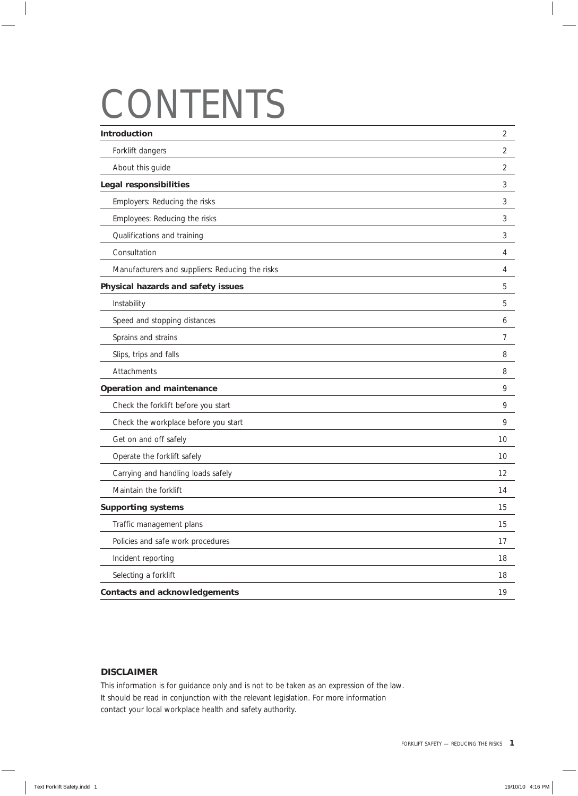# CONTENTS

| Introduction                                    | $\overline{2}$ |
|-------------------------------------------------|----------------|
| Forklift dangers                                | $\overline{2}$ |
| About this guide                                | $\overline{2}$ |
| <b>Legal responsibilities</b>                   | 3              |
| Employers: Reducing the risks                   | 3              |
| Employees: Reducing the risks                   | 3              |
| Qualifications and training                     | 3              |
| Consultation                                    | 4              |
| Manufacturers and suppliers: Reducing the risks | 4              |
| Physical hazards and safety issues              | 5              |
| Instability                                     | 5              |
| Speed and stopping distances                    | 6              |
| Sprains and strains                             | 7              |
| Slips, trips and falls                          | 8              |
| Attachments                                     | 8              |
| <b>Operation and maintenance</b>                | 9              |
| Check the forklift before you start             | 9              |
| Check the workplace before you start            | 9              |
| Get on and off safely                           | 10             |
| Operate the forklift safely                     | 10             |
| Carrying and handling loads safely              | 12             |
| Maintain the forklift                           | 14             |
| <b>Supporting systems</b>                       | 15             |
| Traffic management plans                        | 15             |
| Policies and safe work procedures               | 17             |
| Incident reporting                              | 18             |
| Selecting a forklift                            | $18\,$         |
| <b>Contacts and acknowledgements</b>            | 19             |
|                                                 |                |

#### **DISCLAIMER**

This information is for guidance only and is not to be taken as an expression of the law. It should be read in conjunction with the relevant legislation. For more information contact your local workplace health and safety authority.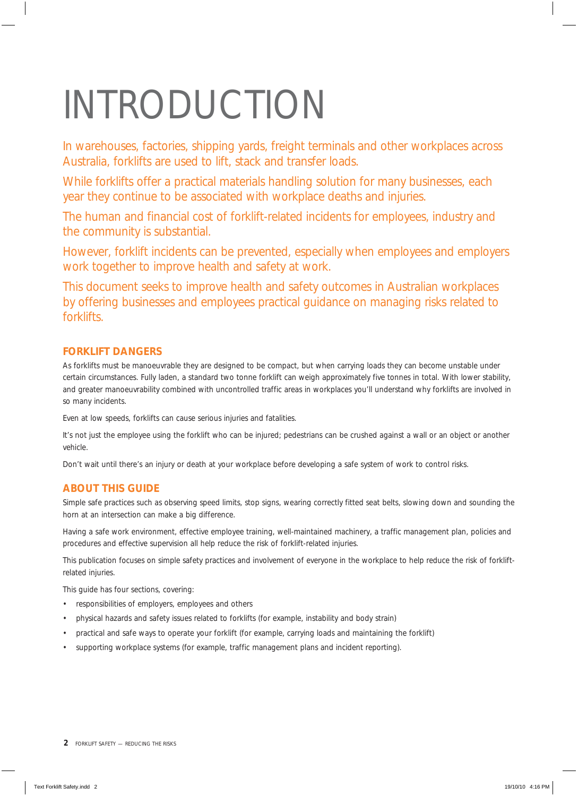# INTRODUCTION

In warehouses, factories, shipping yards, freight terminals and other workplaces across Australia, forklifts are used to lift, stack and transfer loads.

While forklifts offer a practical materials handling solution for many businesses, each year they continue to be associated with workplace deaths and injuries.

The human and financial cost of forklift-related incidents for employees, industry and the community is substantial.

However, forklift incidents can be prevented, especially when employees and employers work together to improve health and safety at work.

This document seeks to improve health and safety outcomes in Australian workplaces by offering businesses and employees practical guidance on managing risks related to forklifts.

## **FORKLIFT DANGERS**

As forklifts must be manoeuvrable they are designed to be compact, but when carrying loads they can become unstable under certain circumstances. Fully laden, a standard two tonne forklift can weigh approximately five tonnes in total. With lower stability, and greater manoeuvrability combined with uncontrolled traffic areas in workplaces you'll understand why forklifts are involved in so many incidents.

Even at low speeds, forklifts can cause serious injuries and fatalities.

It's not just the employee using the forklift who can be injured; pedestrians can be crushed against a wall or an object or another vehicle.

Don't wait until there's an injury or death at your workplace before developing a safe system of work to control risks.

## **ABOUT THIS GUIDE**

Simple safe practices such as observing speed limits, stop signs, wearing correctly fitted seat belts, slowing down and sounding the horn at an intersection can make a big difference.

Having a safe work environment, effective employee training, well-maintained machinery, a traffic management plan, policies and procedures and effective supervision all help reduce the risk of forklift-related injuries.

This publication focuses on simple safety practices and involvement of everyone in the workplace to help reduce the risk of forkliftrelated injuries.

This guide has four sections, covering:

- responsibilities of employers, employees and others
- physical hazards and safety issues related to forklifts (for example, instability and body strain)
- practical and safe ways to operate your forklift (for example, carrying loads and maintaining the forklift)
- supporting workplace systems (for example, traffic management plans and incident reporting).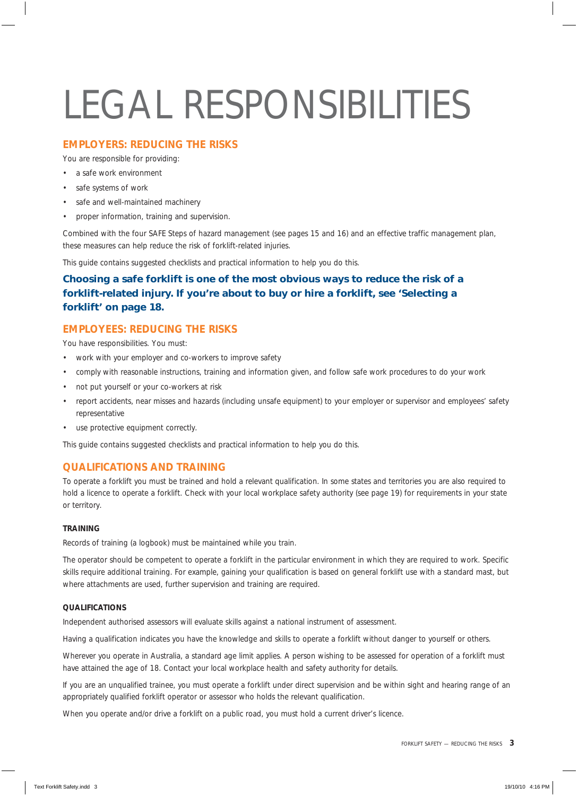# LEGAL RESPONSIBILITIES

### **EMPLOYERS: REDUCING THE RISKS**

You are responsible for providing:

- a safe work environment
- safe systems of work
- safe and well-maintained machinery
- proper information, training and supervision.

Combined with the four SAFE Steps of hazard management (see pages 15 and 16) and an effective traffic management plan, these measures can help reduce the risk of forklift-related injuries.

This guide contains suggested checklists and practical information to help you do this.

## *Choosing a safe forklift is one of the most obvious ways to reduce the risk of a forklift-related injury. If you're about to buy or hire a forklift, see 'Selecting a forklift' on page 18.*

## **EMPLOYEES: REDUCING THE RISKS**

You have responsibilities. You must:

- work with your employer and co-workers to improve safety
- comply with reasonable instructions, training and information given, and follow safe work procedures to do your work
- not put yourself or your co-workers at risk
- report accidents, near misses and hazards (including unsafe equipment) to your employer or supervisor and employees' safety representative
- use protective equipment correctly.

This guide contains suggested checklists and practical information to help you do this.

## **QUALIFICATIONS AND TRAINING**

To operate a forklift you must be trained and hold a relevant qualification. In some states and territories you are also required to hold a licence to operate a forklift. Check with your local workplace safety authority (see page 19) for requirements in your state or territory.

#### **TRAINING**

Records of training (a logbook) must be maintained while you train.

The operator should be competent to operate a forklift in the particular environment in which they are required to work. Specific skills require additional training. For example, gaining your qualification is based on general forklift use with a standard mast, but where attachments are used, further supervision and training are required.

#### **QUALIFICATIONS**

Independent authorised assessors will evaluate skills against a national instrument of assessment.

Having a qualification indicates you have the knowledge and skills to operate a forklift without danger to yourself or others.

Wherever you operate in Australia, a standard age limit applies. A person wishing to be assessed for operation of a forklift must have attained the age of 18. Contact your local workplace health and safety authority for details.

If you are an unqualified trainee, you must operate a forklift under direct supervision and be within sight and hearing range of an appropriately qualified forklift operator or assessor who holds the relevant qualification.

When you operate and/or drive a forklift on a public road, you must hold a current driver's licence.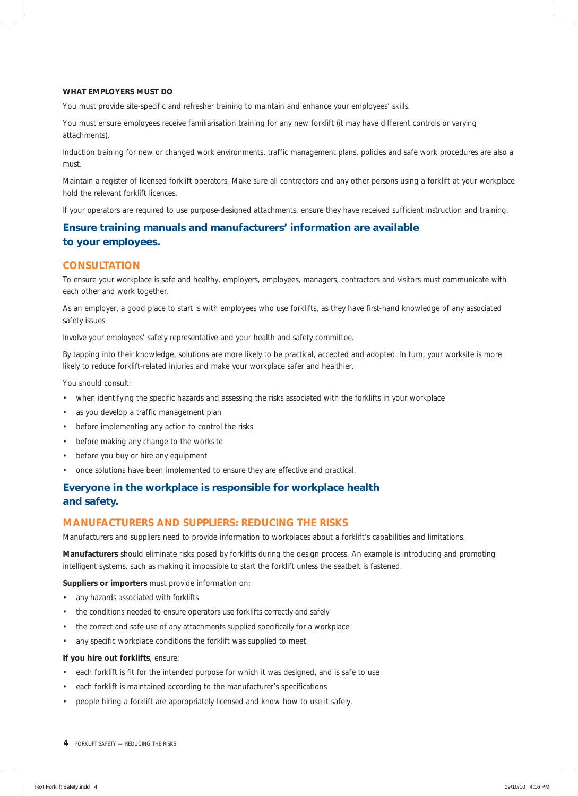#### **WHAT EMPLOYERS MUST DO**

You must provide site-specific and refresher training to maintain and enhance your employees' skills.

You must ensure employees receive familiarisation training for any new forklift (it may have different controls or varying attachments).

Induction training for new or changed work environments, traffic management plans, policies and safe work procedures are also a must.

Maintain a register of licensed forklift operators. Make sure all contractors and any other persons using a forklift at your workplace hold the relevant forklift licences.

If your operators are required to use purpose-designed attachments, ensure they have received sufficient instruction and training.

## *Ensure training manuals and manufacturers' information are available to your employees.*

### **CONSULTATION**

To ensure your workplace is safe and healthy, employers, employees, managers, contractors and visitors must communicate with each other and work together.

As an employer, a good place to start is with employees who use forklifts, as they have first-hand knowledge of any associated safety issues.

Involve your employees' safety representative and your health and safety committee.

By tapping into their knowledge, solutions are more likely to be practical, accepted and adopted. In turn, your worksite is more likely to reduce forklift-related injuries and make your workplace safer and healthier.

You should consult:

- when identifying the specific hazards and assessing the risks associated with the forklifts in your workplace
- as you develop a traffic management plan
- before implementing any action to control the risks
- before making any change to the worksite
- before you buy or hire any equipment
- once solutions have been implemented to ensure they are effective and practical.

#### *Everyone in the workplace is responsible for workplace health and safety.*

#### **MANUFACTURERS AND SUPPLIERS: REDUCING THE RISKS**

Manufacturers and suppliers need to provide information to workplaces about a forklift's capabilities and limitations.

**Manufacturers** should eliminate risks posed by forklifts during the design process. An example is introducing and promoting intelligent systems, such as making it impossible to start the forklift unless the seatbelt is fastened.

#### **Suppliers or importers** must provide information on:

- any hazards associated with forklifts
- the conditions needed to ensure operators use forklifts correctly and safely
- the correct and safe use of any attachments supplied specifically for a workplace
- any specific workplace conditions the forklift was supplied to meet.

#### **If you hire out forklifts**, ensure:

- each forklift is fit for the intended purpose for which it was designed, and is safe to use
- each forklift is maintained according to the manufacturer's specifications
- people hiring a forklift are appropriately licensed and know how to use it safely.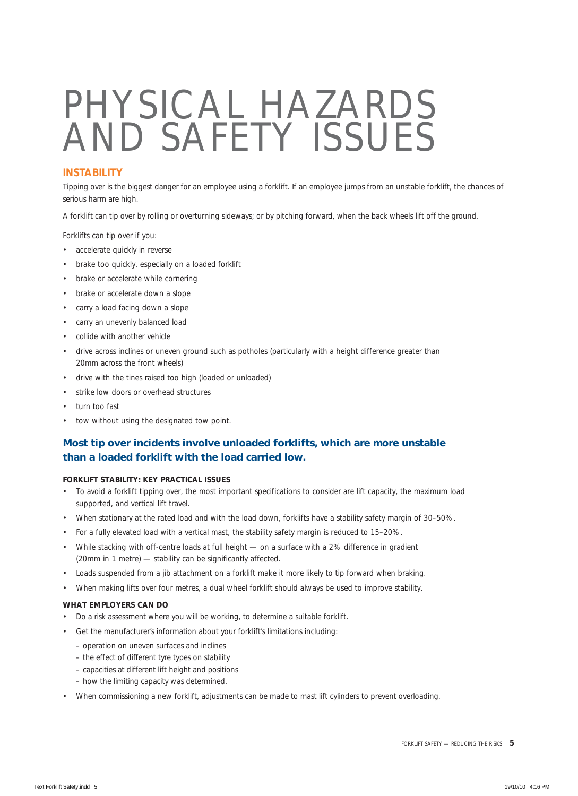## PHYSICAL HAZARDS AND SAFETY ISSUES

## **INSTABILITY**

Tipping over is the biggest danger for an employee using a forklift. If an employee jumps from an unstable forklift, the chances of serious harm are high.

A forklift can tip over by rolling or overturning sideways; or by pitching forward, when the back wheels lift off the ground.

Forklifts can tip over if you:

- accelerate quickly in reverse
- brake too quickly, especially on a loaded forklift
- brake or accelerate while cornering
- brake or accelerate down a slope
- carry a load facing down a slope
- carry an unevenly balanced load
- collide with another vehicle
- drive across inclines or uneven ground such as potholes (particularly with a height difference greater than 20mm across the front wheels)
- drive with the tines raised too high (loaded or unloaded)
- strike low doors or overhead structures
- turn too fast
- tow without using the designated tow point.

## *Most tip over incidents involve unloaded forklifts, which are more unstable than a loaded forklift with the load carried low.*

#### **FORKLIFT STABILITY: KEY PRACTICAL ISSUES**

- To avoid a forklift tipping over, the most important specifications to consider are lift capacity, the maximum load supported, and vertical lift travel.
- When stationary at the rated load and with the load down, forklifts have a stability safety margin of 30–50%.
- For a fully elevated load with a vertical mast, the stability safety margin is reduced to 15–20%.
- While stacking with off-centre loads at full height on a surface with a 2% difference in gradient (20mm in 1 metre) — stability can be significantly affected.
- Loads suspended from a jib attachment on a forklift make it more likely to tip forward when braking.
- When making lifts over four metres, a dual wheel forklift should always be used to improve stability.

#### **WHAT EMPLOYERS CAN DO**

- Do a risk assessment where you will be working, to determine a suitable forklift.
- Get the manufacturer's information about your forklift's limitations including:
	- operation on uneven surfaces and inclines
	- the effect of different tyre types on stability
	- capacities at different lift height and positions
	- how the limiting capacity was determined.
- When commissioning a new forklift, adjustments can be made to mast lift cylinders to prevent overloading.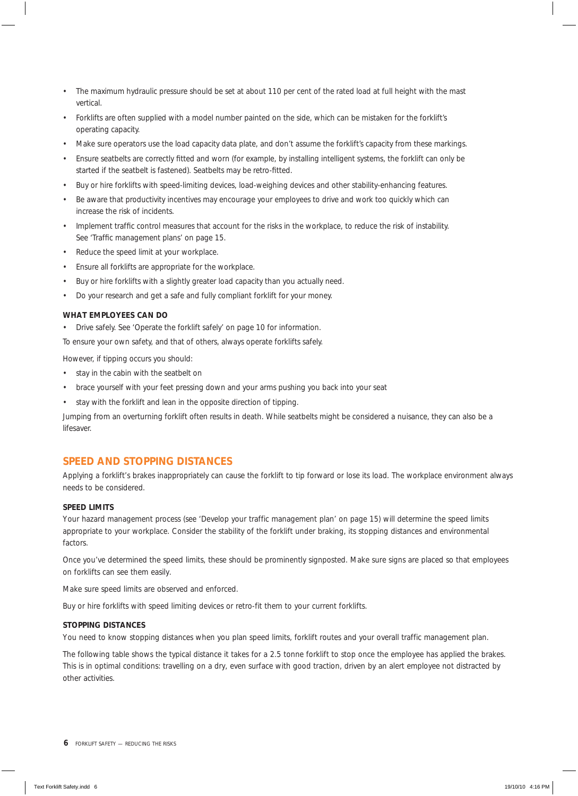- The maximum hydraulic pressure should be set at about 110 per cent of the rated load at full height with the mast vertical.
- Forklifts are often supplied with a model number painted on the side, which can be mistaken for the forklift's operating capacity.
- Make sure operators use the load capacity data plate, and don't assume the forklift's capacity from these markings.
- Ensure seatbelts are correctly fitted and worn (for example, by installing intelligent systems, the forklift can only be started if the seatbelt is fastened). Seatbelts may be retro-fitted.
- Buy or hire forklifts with speed-limiting devices, load-weighing devices and other stability-enhancing features.
- Be aware that productivity incentives may encourage your employees to drive and work too quickly which can increase the risk of incidents.
- Implement traffic control measures that account for the risks in the workplace, to reduce the risk of instability. See 'Traffic management plans' on page 15.
- Reduce the speed limit at your workplace.
- Ensure all forklifts are appropriate for the workplace.
- Buy or hire forklifts with a slightly greater load capacity than you actually need.
- Do your research and get a safe and fully compliant forklift for your money.

#### **WHAT EMPLOYEES CAN DO**

• Drive safely. See 'Operate the forklift safely' on page 10 for information.

To ensure your own safety, and that of others, always operate forklifts safely.

However, if tipping occurs you should:

- stay in the cabin with the seatbelt on
- brace yourself with your feet pressing down and your arms pushing you back into your seat
- stay with the forklift and lean in the opposite direction of tipping.

Jumping from an overturning forklift often results in death. While seatbelts might be considered a nuisance, they can also be a lifesaver.

## **SPEED AND STOPPING DISTANCES**

Applying a forklift's brakes inappropriately can cause the forklift to tip forward or lose its load. The workplace environment always needs to be considered.

#### **SPEED LIMITS**

Your hazard management process (see 'Develop your traffic management plan' on page 15) will determine the speed limits appropriate to your workplace. Consider the stability of the forklift under braking, its stopping distances and environmental factors.

Once you've determined the speed limits, these should be prominently signposted. Make sure signs are placed so that employees on forklifts can see them easily.

Make sure speed limits are observed and enforced.

Buy or hire forklifts with speed limiting devices or retro-fit them to your current forklifts.

#### **STOPPING DISTANCES**

You need to know stopping distances when you plan speed limits, forklift routes and your overall traffic management plan.

The following table shows the typical distance it takes for a 2.5 tonne forklift to stop once the employee has applied the brakes. This is in optimal conditions: travelling on a dry, even surface with good traction, driven by an alert employee not distracted by other activities.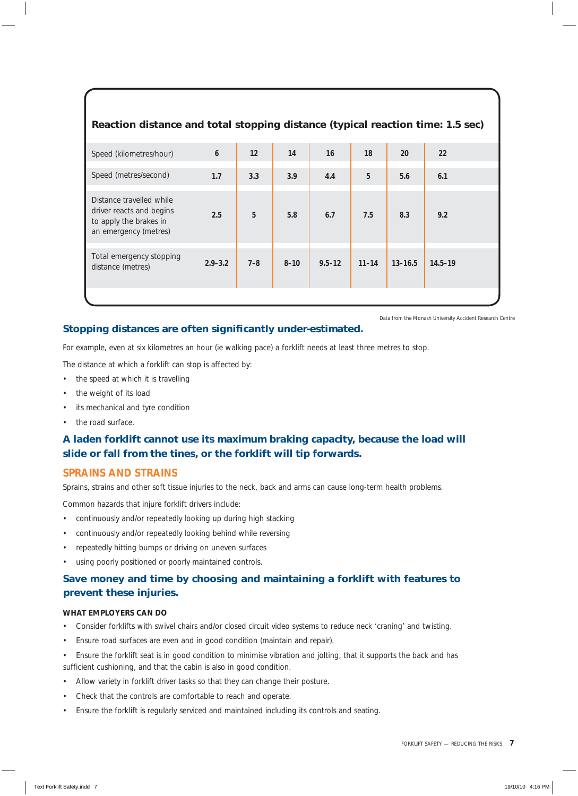## **Reaction distance and total stopping distance (typical reaction time: 1.5 sec)**

| Speed (kilometres/hour)                                                                                 | $\boldsymbol{6}$ | 12      | 14       | 16         | 18        | 20          | 22          |
|---------------------------------------------------------------------------------------------------------|------------------|---------|----------|------------|-----------|-------------|-------------|
| Speed (metres/second)                                                                                   | 1.7              | 3.3     | 3.9      | 4.4        | 5         | 5.6         | 6.1         |
| Distance travelled while<br>driver reacts and begins<br>to apply the brakes in<br>an emergency (metres) | 2.5              | 5       | 5.8      | 6.7        | 7.5       | 8.3         | 9.2         |
| Total emergency stopping<br>distance (metres)                                                           | $2.9 - 3.2$      | $7 - 8$ | $8 - 10$ | $9.5 - 12$ | $11 - 14$ | $13 - 16.5$ | $14.5 - 19$ |
|                                                                                                         |                  |         |          |            |           |             |             |

## **Stopping distances are often significantly under-estimated.**

*Data from the Monash University Accident Research Centre*

For example, even at six kilometres an hour (ie walking pace) a forklift needs at least three metres to stop.

The distance at which a forklift can stop is affected by:

- the speed at which it is travelling
- the weight of its load
- its mechanical and tyre condition
- the road surface.

## *A laden forklift cannot use its maximum braking capacity, because the load will slide or fall from the tines, or the forklift will tip forwards.*

#### **SPRAINS AND STRAINS**

Sprains, strains and other soft tissue injuries to the neck, back and arms can cause long-term health problems.

Common hazards that injure forklift drivers include:

- continuously and/or repeatedly looking up during high stacking
- continuously and/or repeatedly looking behind while reversing
- repeatedly hitting bumps or driving on uneven surfaces
- using poorly positioned or poorly maintained controls.

### *Save money and time by choosing and maintaining a forklift with features to prevent these injuries.*

#### **WHAT EMPLOYERS CAN DO**

- Consider forklifts with swivel chairs and/or closed circuit video systems to reduce neck 'craning' and twisting.
- Ensure road surfaces are even and in good condition (maintain and repair).
- Ensure the forklift seat is in good condition to minimise vibration and jolting, that it supports the back and has sufficient cushioning, and that the cabin is also in good condition.
- Allow variety in forklift driver tasks so that they can change their posture.
- Check that the controls are comfortable to reach and operate.
- Ensure the forklift is regularly serviced and maintained including its controls and seating.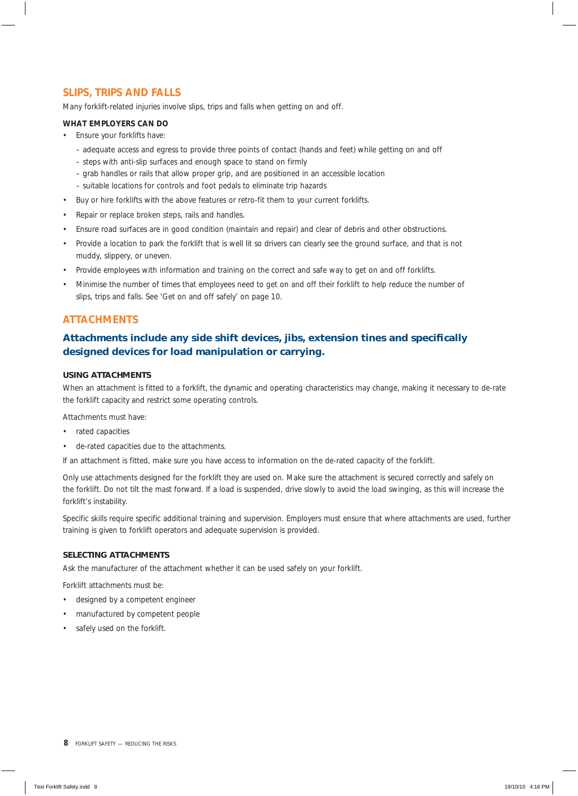## **SLIPS, TRIPS AND FALLS**

Many forklift-related injuries involve slips, trips and falls when getting on and off.

#### **WHAT EMPLOYERS CAN DO**

- Ensure your forklifts have:
	- adequate access and egress to provide three points of contact (hands and feet) while getting on and off
	- steps with anti-slip surfaces and enough space to stand on firmly
	- grab handles or rails that allow proper grip, and are positioned in an accessible location
	- suitable locations for controls and foot pedals to eliminate trip hazards
- Buy or hire forklifts with the above features or retro-fit them to your current forklifts.
- Repair or replace broken steps, rails and handles.
- Ensure road surfaces are in good condition (maintain and repair) and clear of debris and other obstructions.
- Provide a location to park the forklift that is well lit so drivers can clearly see the ground surface, and that is not muddy, slippery, or uneven.
- Provide employees with information and training on the correct and safe way to get on and off forklifts.
- Minimise the number of times that employees need to get on and off their forklift to help reduce the number of slips, trips and falls. See 'Get on and off safely' on page 10.

#### **ATTACHMENTS**

## Attachments include any side shift devices, jibs, extension tines and specifically *designed devices for load manipulation or carrying.*

#### **USING ATTACHMENTS**

When an attachment is fitted to a forklift, the dynamic and operating characteristics may change, making it necessary to de-rate the forklift capacity and restrict some operating controls.

Attachments must have:

- rated capacities
- de-rated capacities due to the attachments.

If an attachment is fitted, make sure you have access to information on the de-rated capacity of the forklift.

Only use attachments designed for the forklift they are used on. Make sure the attachment is secured correctly and safely on the forklift. Do not tilt the mast forward. If a load is suspended, drive slowly to avoid the load swinging, as this will increase the forklift's instability.

Specific skills require specific additional training and supervision. Employers must ensure that where attachments are used, further training is given to forklift operators and adequate supervision is provided.

#### **SELECTING ATTACHMENTS**

Ask the manufacturer of the attachment whether it can be used safely on your forklift.

Forklift attachments must be:

- designed by a competent engineer
- manufactured by competent people
- safely used on the forklift.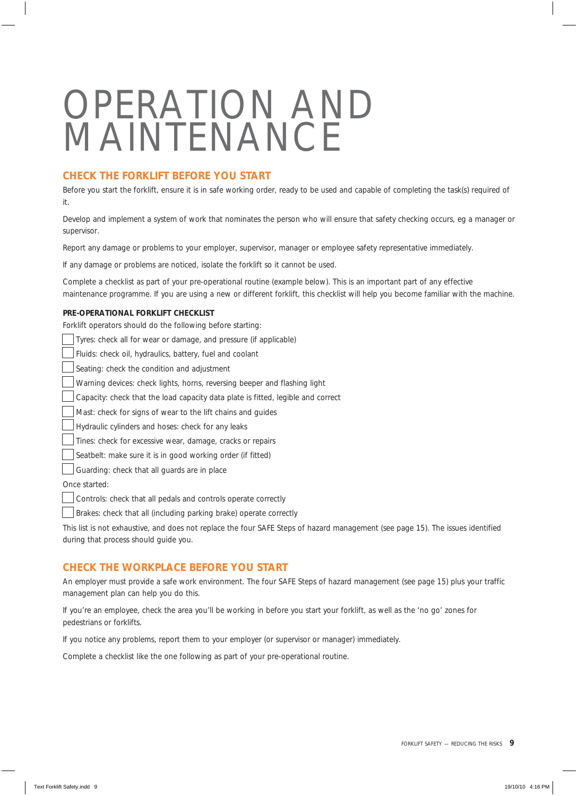## OPERATION AND MAINTENANCE

## **CHECK THE FORKLIFT BEFORE YOU START**

Before you start the forklift, ensure it is in safe working order, ready to be used and capable of completing the task(s) required of it.

Develop and implement a system of work that nominates the person who will ensure that safety checking occurs, eg a manager or supervisor.

Report any damage or problems to your employer, supervisor, manager or employee safety representative immediately.

If any damage or problems are noticed, isolate the forklift so it cannot be used.

Complete a checklist as part of your pre-operational routine (example below). This is an important part of any effective maintenance programme. If you are using a new or different forklift, this checklist will help you become familiar with the machine.

#### **PRE-OPERATIONAL FORKLIFT CHECKLIST**

Forklift operators should do the following before starting:

| Tyres: check all for wear or damage, and pressure (if applicable)                   |
|-------------------------------------------------------------------------------------|
| Fluids: check oil, hydraulics, battery, fuel and coolant                            |
| Seating: check the condition and adjustment                                         |
| Warning devices: check lights, horns, reversing beeper and flashing light           |
| Capacity: check that the load capacity data plate is fitted, legible and correct    |
| Mast: check for signs of wear to the lift chains and guides                         |
| Hydraulic cylinders and hoses: check for any leaks                                  |
| Tines: check for excessive wear, damage, cracks or repairs                          |
| Seatbelt: make sure it is in good working order (if fitted)                         |
| Guarding: check that all guards are in place                                        |
| Once started:                                                                       |
| Controls: check that all pedals and controls operate correctly                      |
| Brakes: check that all (including parking brake) operate correctly                  |
| This list is not exhaustive and does not replace the four SAFE Steps of hazard mana |

agement (see page 15). The issues identified during that process should guide you.

#### **CHECK THE WORKPLACE BEFORE YOU START**

An employer must provide a safe work environment. The four SAFE Steps of hazard management (see page 15) plus your traffic management plan can help you do this.

If you're an employee, check the area you'll be working in before you start your forklift, as well as the 'no go' zones for pedestrians or forklifts.

If you notice any problems, report them to your employer (or supervisor or manager) immediately.

Complete a checklist like the one following as part of your pre-operational routine.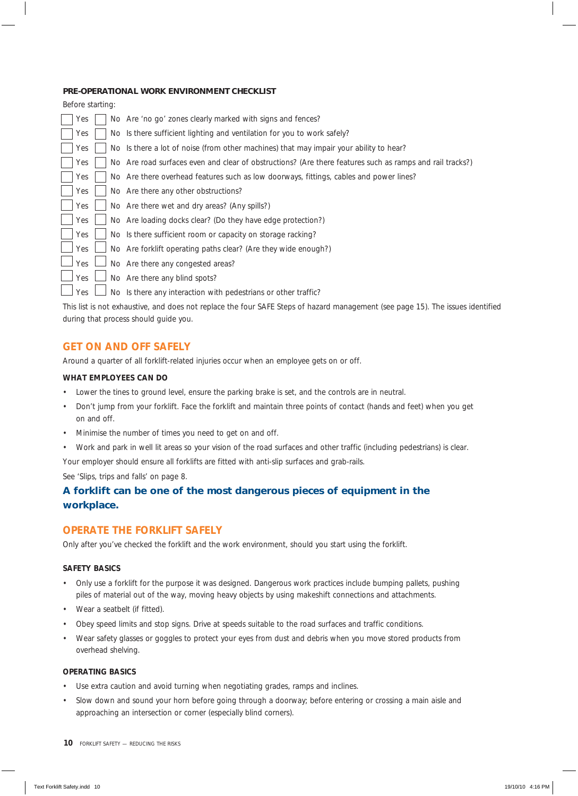#### **PRE-OPERATIONAL WORK ENVIRONMENT CHECKLIST**

| Before starting: |  |                                                                                                          |
|------------------|--|----------------------------------------------------------------------------------------------------------|
| Yes              |  | No Are 'no go' zones clearly marked with signs and fences?                                               |
| Yes              |  | No Is there sufficient lighting and ventilation for you to work safely?                                  |
| Yes              |  | No Is there a lot of noise (from other machines) that may impair your ability to hear?                   |
| Yes              |  | No Are road surfaces even and clear of obstructions? (Are there features such as ramps and rail tracks?) |
| Yes              |  | No Are there overhead features such as low doorways, fittings, cables and power lines?                   |
| Yes              |  | No Are there any other obstructions?                                                                     |
| Yes              |  | No Are there wet and dry areas? (Any spills?)                                                            |
| Yes              |  | No Are loading docks clear? (Do they have edge protection?)                                              |
| Yes              |  | No Is there sufficient room or capacity on storage racking?                                              |
| Yes              |  | No Are forklift operating paths clear? (Are they wide enough?)                                           |
| Yes              |  | No Are there any congested areas?                                                                        |
| Yes              |  | No Are there any blind spots?                                                                            |
| Yes              |  | No Is there any interaction with pedestrians or other traffic?                                           |

This list is not exhaustive, and does not replace the four SAFE Steps of hazard management (see page 15). The issues identified during that process should guide you.

#### **GET ON AND OFF SAFELY**

Around a quarter of all forklift-related injuries occur when an employee gets on or off.

#### **WHAT EMPLOYEES CAN DO**

- Lower the tines to ground level, ensure the parking brake is set, and the controls are in neutral.
- Don't jump from your forklift. Face the forklift and maintain three points of contact (hands and feet) when you get on and off.
- Minimise the number of times you need to get on and off.
- Work and park in well lit areas so your vision of the road surfaces and other traffic (including pedestrians) is clear.

Your employer should ensure all forklifts are fitted with anti-slip surfaces and grab-rails.

See 'Slips, trips and falls' on page 8.

## *A forklift can be one of the most dangerous pieces of equipment in the workplace.*

#### **OPERATE THE FORKLIFT SAFELY**

Only after you've checked the forklift and the work environment, should you start using the forklift.

#### **SAFETY BASICS**

- Only use a forklift for the purpose it was designed. Dangerous work practices include bumping pallets, pushing piles of material out of the way, moving heavy objects by using makeshift connections and attachments.
- Wear a seatbelt (if fitted).
- Obey speed limits and stop signs. Drive at speeds suitable to the road surfaces and traffic conditions.
- Wear safety glasses or goggles to protect your eyes from dust and debris when you move stored products from overhead shelving.

#### **OPERATING BASICS**

- Use extra caution and avoid turning when negotiating grades, ramps and inclines.
- Slow down and sound your horn before going through a doorway; before entering or crossing a main aisle and approaching an intersection or corner (especially blind corners).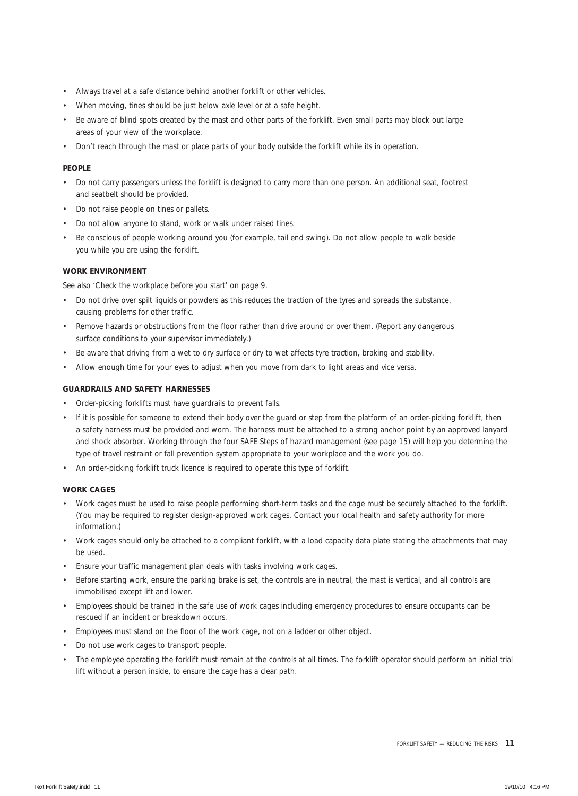- Always travel at a safe distance behind another forklift or other vehicles.
- When moving, tines should be just below axle level or at a safe height.
- Be aware of blind spots created by the mast and other parts of the forklift. Even small parts may block out large areas of your view of the workplace.
- Don't reach through the mast or place parts of your body outside the forklift while its in operation.

#### **PEOPLE**

- Do not carry passengers unless the forklift is designed to carry more than one person. An additional seat, footrest and seatbelt should be provided.
- Do not raise people on tines or pallets.
- Do not allow anyone to stand, work or walk under raised tines.
- Be conscious of people working around you (for example, tail end swing). Do not allow people to walk beside you while you are using the forklift.

#### **WORK ENVIRONMENT**

See also 'Check the workplace before you start' on page 9.

- Do not drive over spilt liquids or powders as this reduces the traction of the tyres and spreads the substance, causing problems for other traffic.
- Remove hazards or obstructions from the floor rather than drive around or over them. (Report any dangerous surface conditions to your supervisor immediately.)
- Be aware that driving from a wet to dry surface or dry to wet affects tyre traction, braking and stability.
- Allow enough time for your eyes to adjust when you move from dark to light areas and vice versa.

#### **GUARDRAILS AND SAFETY HARNESSES**

- Order-picking forklifts must have guardrails to prevent falls.
- If it is possible for someone to extend their body over the guard or step from the platform of an order-picking forklift, then a safety harness must be provided and worn. The harness must be attached to a strong anchor point by an approved lanyard and shock absorber. Working through the four SAFE Steps of hazard management (see page 15) will help you determine the type of travel restraint or fall prevention system appropriate to your workplace and the work you do.
- An order-picking forklift truck licence is required to operate this type of forklift.

#### **WORK CAGES**

- Work cages must be used to raise people performing short-term tasks and the cage must be securely attached to the forklift. (You may be required to register design-approved work cages. Contact your local health and safety authority for more information.)
- Work cages should only be attached to a compliant forklift, with a load capacity data plate stating the attachments that may be used.
- Ensure your traffic management plan deals with tasks involving work cages.
- Before starting work, ensure the parking brake is set, the controls are in neutral, the mast is vertical, and all controls are immobilised except lift and lower.
- Employees should be trained in the safe use of work cages including emergency procedures to ensure occupants can be rescued if an incident or breakdown occurs.
- Employees must stand on the floor of the work cage, not on a ladder or other object.
- Do not use work cages to transport people.
- The employee operating the forklift must remain at the controls at all times. The forklift operator should perform an initial trial lift without a person inside, to ensure the cage has a clear path.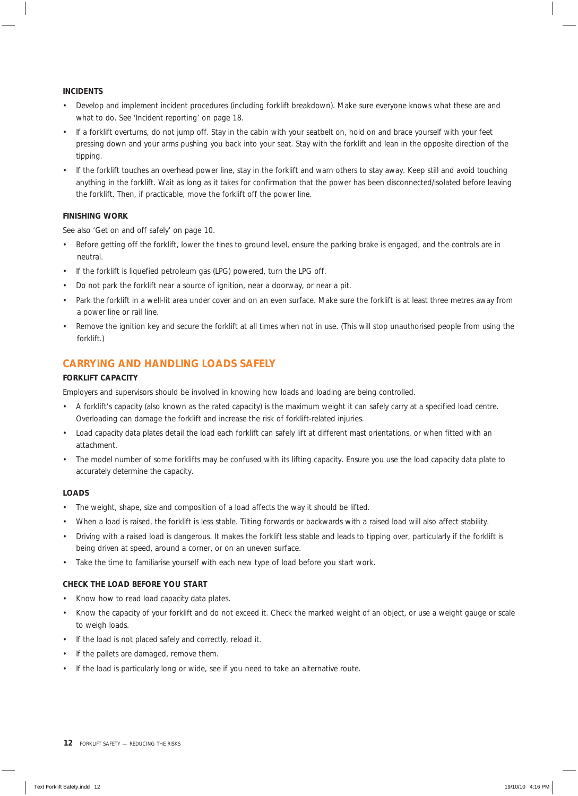#### **INCIDENTS**

- Develop and implement incident procedures (including forklift breakdown). Make sure everyone knows what these are and what to do. See 'Incident reporting' on page 18.
- If a forklift overturns, do not jump off. Stay in the cabin with your seatbelt on, hold on and brace yourself with your feet pressing down and your arms pushing you back into your seat. Stay with the forklift and lean in the opposite direction of the tipping.
- If the forklift touches an overhead power line, stay in the forklift and warn others to stay away. Keep still and avoid touching anything in the forklift. Wait as long as it takes for confirmation that the power has been disconnected/isolated before leaving the forklift. Then, if practicable, move the forklift off the power line.

#### **FINISHING WORK**

See also 'Get on and off safely' on page 10.

- Before getting off the forklift, lower the tines to ground level, ensure the parking brake is engaged, and the controls are in neutral.
- If the forklift is liquefied petroleum gas (LPG) powered, turn the LPG off.
- Do not park the forklift near a source of ignition, near a doorway, or near a pit.
- Park the forklift in a well-lit area under cover and on an even surface. Make sure the forklift is at least three metres away from a power line or rail line.
- Remove the ignition key and secure the forklift at all times when not in use. (This will stop unauthorised people from using the forklift.)

## **CARRYING AND HANDLING LOADS SAFELY**

#### **FORKLIFT CAPACITY**

Employers and supervisors should be involved in knowing how loads and loading are being controlled.

- A forklift's capacity (also known as the rated capacity) is the maximum weight it can safely carry at a specified load centre. Overloading can damage the forklift and increase the risk of forklift-related injuries.
- Load capacity data plates detail the load each forklift can safely lift at different mast orientations, or when fitted with an attachment.
- The model number of some forklifts may be confused with its lifting capacity. Ensure you use the load capacity data plate to accurately determine the capacity.

#### **LOADS**

- The weight, shape, size and composition of a load affects the way it should be lifted.
- When a load is raised, the forklift is less stable. Tilting forwards or backwards with a raised load will also affect stability.
- Driving with a raised load is dangerous. It makes the forklift less stable and leads to tipping over, particularly if the forklift is being driven at speed, around a corner, or on an uneven surface.
- Take the time to familiarise yourself with each new type of load before you start work.

#### **CHECK THE LOAD BEFORE YOU START**

- Know how to read load capacity data plates.
- Know the capacity of your forklift and do not exceed it. Check the marked weight of an object, or use a weight gauge or scale to weigh loads.
- If the load is not placed safely and correctly, reload it.
- If the pallets are damaged, remove them.
- If the load is particularly long or wide, see if you need to take an alternative route.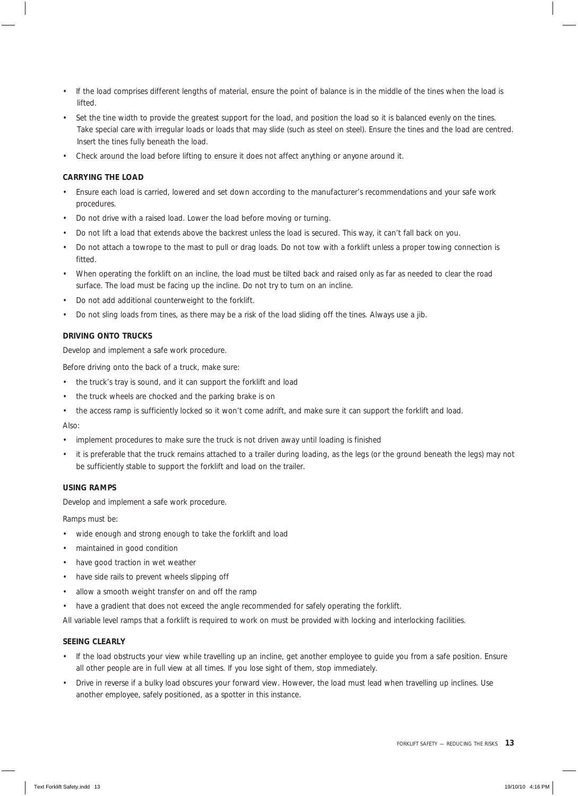- If the load comprises different lengths of material, ensure the point of balance is in the middle of the tines when the load is lifted.
- Set the tine width to provide the greatest support for the load, and position the load so it is balanced evenly on the tines. Take special care with irregular loads or loads that may slide (such as steel on steel). Ensure the tines and the load are centred. Insert the tines fully beneath the load.
- Check around the load before lifting to ensure it does not affect anything or anyone around it.

#### **CARRYING THE LOAD**

- Ensure each load is carried, lowered and set down according to the manufacturer's recommendations and your safe work procedures.
- Do not drive with a raised load. Lower the load before moving or turning.
- Do not lift a load that extends above the backrest unless the load is secured. This way, it can't fall back on you.
- Do not attach a towrope to the mast to pull or drag loads. Do not tow with a forklift unless a proper towing connection is fitted.
- When operating the forklift on an incline, the load must be tilted back and raised only as far as needed to clear the road surface. The load must be facing up the incline. Do not try to turn on an incline.
- Do not add additional counterweight to the forklift.
- Do not sling loads from tines, as there may be a risk of the load sliding off the tines. Always use a jib.

#### **DRIVING ONTO TRUCKS**

Develop and implement a safe work procedure.

Before driving onto the back of a truck, make sure:

- the truck's tray is sound, and it can support the forklift and load
- the truck wheels are chocked and the parking brake is on
- the access ramp is sufficiently locked so it won't come adrift, and make sure it can support the forklift and load.

#### Also:

- implement procedures to make sure the truck is not driven away until loading is finished
- it is preferable that the truck remains attached to a trailer during loading, as the legs (or the ground beneath the legs) may not be sufficiently stable to support the forklift and load on the trailer.

#### **USING RAMPS**

Develop and implement a safe work procedure.

Ramps must be:

- wide enough and strong enough to take the forklift and load
- maintained in good condition
- have good traction in wet weather
- have side rails to prevent wheels slipping off
- allow a smooth weight transfer on and off the ramp
- have a gradient that does not exceed the angle recommended for safely operating the forklift.

All variable level ramps that a forklift is required to work on must be provided with locking and interlocking facilities.

#### **SEEING CLEARLY**

- If the load obstructs your view while travelling up an incline, get another employee to guide you from a safe position. Ensure all other people are in full view at all times. If you lose sight of them, stop immediately.
- Drive in reverse if a bulky load obscures your forward view. However, the load must lead when travelling up inclines. Use another employee, safely positioned, as a spotter in this instance.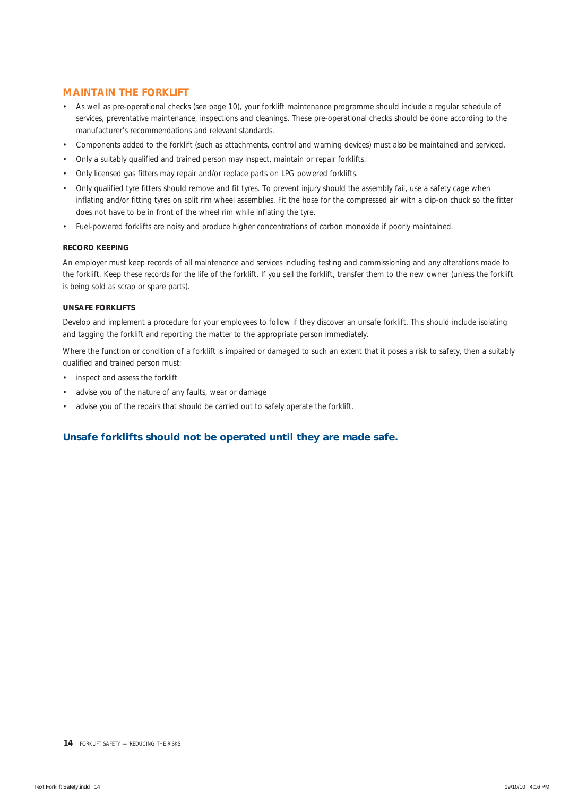## **MAINTAIN THE FORKLIFT**

- As well as pre-operational checks (see page 10), your forklift maintenance programme should include a regular schedule of services, preventative maintenance, inspections and cleanings. These pre-operational checks should be done according to the manufacturer's recommendations and relevant standards.
- Components added to the forklift (such as attachments, control and warning devices) must also be maintained and serviced.
- Only a suitably qualified and trained person may inspect, maintain or repair forklifts.
- Only licensed gas fitters may repair and/or replace parts on LPG powered forklifts.
- Only qualified tyre fitters should remove and fit tyres. To prevent injury should the assembly fail, use a safety cage when inflating and/or fitting tyres on split rim wheel assemblies. Fit the hose for the compressed air with a clip-on chuck so the fitter does not have to be in front of the wheel rim while inflating the tyre.
- Fuel-powered forklifts are noisy and produce higher concentrations of carbon monoxide if poorly maintained.

#### **RECORD KEEPING**

An employer must keep records of all maintenance and services including testing and commissioning and any alterations made to the forklift. Keep these records for the life of the forklift. If you sell the forklift, transfer them to the new owner (unless the forklift is being sold as scrap or spare parts).

#### **UNSAFE FORKLIFTS**

Develop and implement a procedure for your employees to follow if they discover an unsafe forklift. This should include isolating and tagging the forklift and reporting the matter to the appropriate person immediately.

Where the function or condition of a forklift is impaired or damaged to such an extent that it poses a risk to safety, then a suitably qualified and trained person must:

- inspect and assess the forklift
- advise you of the nature of any faults, wear or damage
- advise you of the repairs that should be carried out to safely operate the forklift.

## *Unsafe forklifts should not be operated until they are made safe.*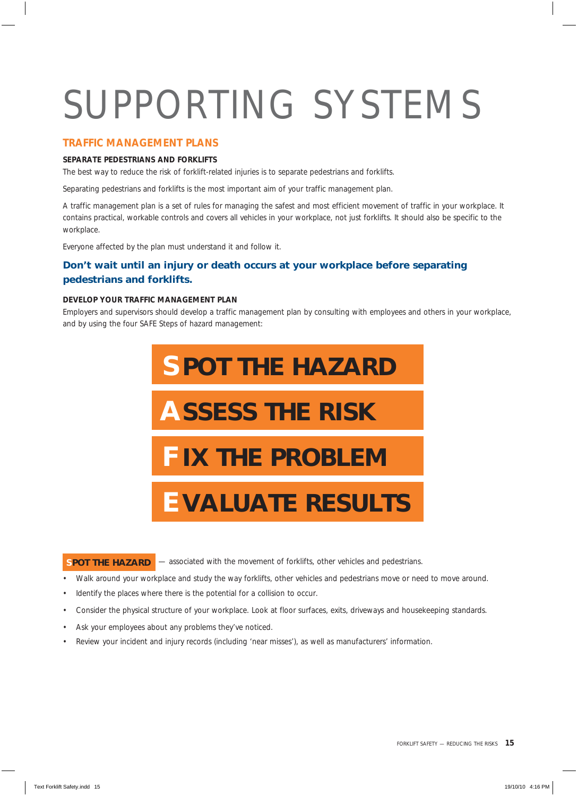# SUPPORTING SYSTEMS

#### **TRAFFIC MANAGEMENT PLANS**

#### **SEPARATE PEDESTRIANS AND FORKLIFTS**

The best way to reduce the risk of forklift-related injuries is to separate pedestrians and forklifts.

Separating pedestrians and forklifts is the most important aim of your traffic management plan.

A traffic management plan is a set of rules for managing the safest and most efficient movement of traffic in your workplace. It contains practical, workable controls and covers all vehicles in your workplace, not just forklifts. It should also be specific to the workplace.

Everyone affected by the plan must understand it and follow it.

## *Don't wait until an injury or death occurs at your workplace before separating pedestrians and forklifts.*

#### **DEVELOP YOUR TRAFFIC MANAGEMENT PLAN**

Employers and supervisors should develop a traffic management plan by consulting with employees and others in your workplace, and by using the four SAFE Steps of hazard management:



## **SPOT THE HAZARD**  $-$  associated with the movement of forklifts, other vehicles and pedestrians.

- Walk around your workplace and study the way forklifts, other vehicles and pedestrians move or need to move around.
- Identify the places where there is the potential for a collision to occur.
- Consider the physical structure of your workplace. Look at floor surfaces, exits, driveways and housekeeping standards.
- Ask your employees about any problems they've noticed.
- Review your incident and injury records (including 'near misses'), as well as manufacturers' information.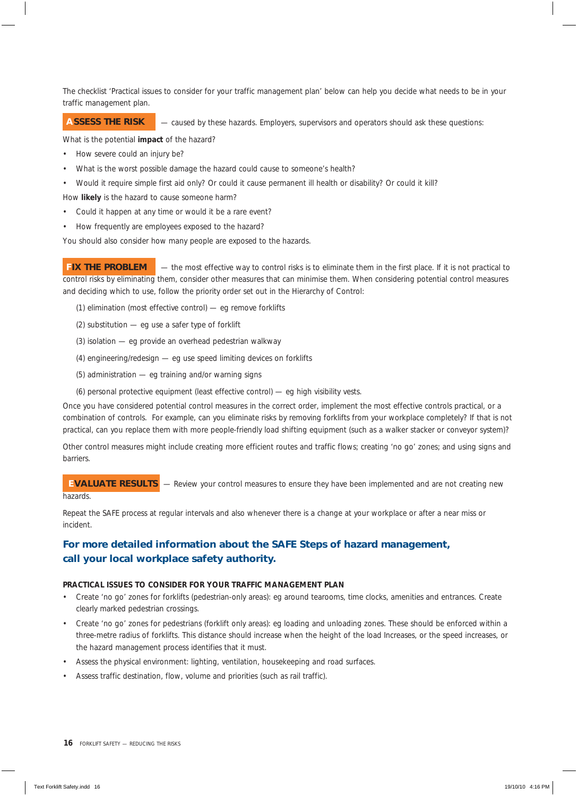The checklist 'Practical issues to consider for your traffic management plan' below can help you decide what needs to be in your traffic management plan.

#### — caused by these hazards. Employers, supervisors and operators should ask these questions:  **ASSESS THE RISK**

What is the potential **impact** of the hazard?

- How severe could an injury be?
- What is the worst possible damage the hazard could cause to someone's health?
- Would it require simple first aid only? Or could it cause permanent ill health or disability? Or could it kill?

How **likely** is the hazard to cause someone harm?

- Could it happen at any time or would it be a rare event?
- How frequently are employees exposed to the hazard?

You should also consider how many people are exposed to the hazards.

— the most effective way to control risks is to eliminate them in the first place. If it is not practical to control risks by eliminating them, consider other measures that can minimise them. When considering potential control measures and deciding which to use, follow the priority order set out in the Hierarchy of Control:  **FIX THE PROBLEM**

- (1) elimination (most effective control) eg remove forklifts
- (2) substitution eg use a safer type of forklift
- (3) isolation eg provide an overhead pedestrian walkway
- (4) engineering/redesign eg use speed limiting devices on forklifts
- (5) administration eg training and/or warning signs
- (6) personal protective equipment (least effective control) eg high visibility vests.

Once you have considered potential control measures in the correct order, implement the most effective controls practical, or a combination of controls. For example, can you eliminate risks by removing forklifts from your workplace completely? If that is not practical, can you replace them with more people-friendly load shifting equipment (such as a walker stacker or conveyor system)?

Other control measures might include creating more efficient routes and traffic flows; creating 'no go' zones; and using signs and barriers.

Review your control measures to ensure they have been implemented and are not creating new hazards.  **EVALUATE RESULTS**

Repeat the SAFE process at regular intervals and also whenever there is a change at your workplace or after a near miss or incident.

## *For more detailed information about the SAFE Steps of hazard management, call your local workplace safety authority.*

#### **PRACTICAL ISSUES TO CONSIDER FOR YOUR TRAFFIC MANAGEMENT PLAN**

- Create 'no go' zones for forklifts (pedestrian-only areas): eg around tearooms, time clocks, amenities and entrances. Create clearly marked pedestrian crossings.
- Create 'no go' zones for pedestrians (forklift only areas): eg loading and unloading zones. These should be enforced within a three-metre radius of forklifts. This distance should increase when the height of the load Increases, or the speed increases, or the hazard management process identifies that it must.
- Assess the physical environment: lighting, ventilation, housekeeping and road surfaces.
- Assess traffic destination, flow, volume and priorities (such as rail traffic).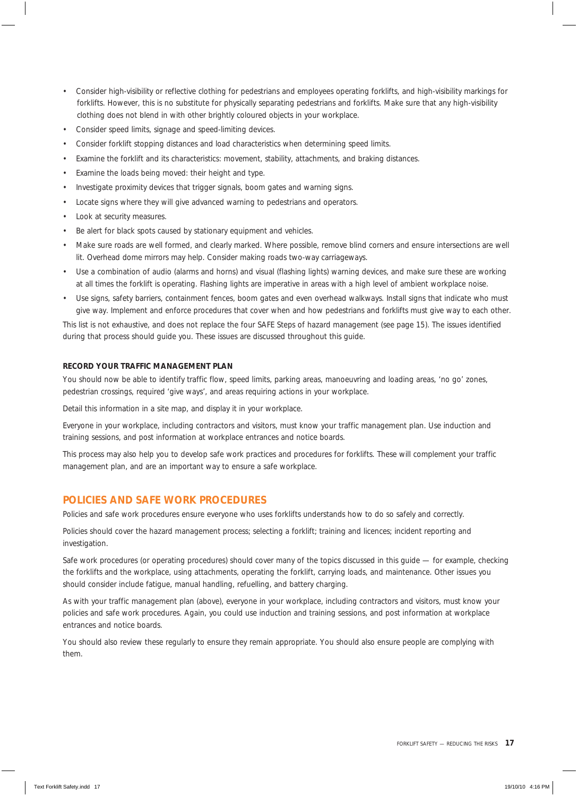- Consider high-visibility or reflective clothing for pedestrians and employees operating forklifts, and high-visibility markings for forklifts. However, this is no substitute for physically separating pedestrians and forklifts. Make sure that any high-visibility clothing does not blend in with other brightly coloured objects in your workplace.
- Consider speed limits, signage and speed-limiting devices.
- Consider forklift stopping distances and load characteristics when determining speed limits.
- Examine the forklift and its characteristics: movement, stability, attachments, and braking distances.
- Examine the loads being moved: their height and type.
- Investigate proximity devices that trigger signals, boom gates and warning signs.
- Locate signs where they will give advanced warning to pedestrians and operators.
- Look at security measures.
- Be alert for black spots caused by stationary equipment and vehicles.
- Make sure roads are well formed, and clearly marked. Where possible, remove blind corners and ensure intersections are well lit. Overhead dome mirrors may help. Consider making roads two-way carriageways.
- Use a combination of audio (alarms and horns) and visual (flashing lights) warning devices, and make sure these are working at all times the forklift is operating. Flashing lights are imperative in areas with a high level of ambient workplace noise.
- Use signs, safety barriers, containment fences, boom gates and even overhead walkways. Install signs that indicate who must give way. Implement and enforce procedures that cover when and how pedestrians and forklifts must give way to each other.

This list is not exhaustive, and does not replace the four SAFE Steps of hazard management (see page 15). The issues identified during that process should guide you. These issues are discussed throughout this guide.

#### **RECORD YOUR TRAFFIC MANAGEMENT PLAN**

You should now be able to identify traffic flow, speed limits, parking areas, manoeuvring and loading areas, 'no go' zones, pedestrian crossings, required 'give ways', and areas requiring actions in your workplace.

Detail this information in a site map, and display it in your workplace.

Everyone in your workplace, including contractors and visitors, must know your traffic management plan. Use induction and training sessions, and post information at workplace entrances and notice boards.

This process may also help you to develop safe work practices and procedures for forklifts. These will complement your traffic management plan, and are an important way to ensure a safe workplace.

#### **POLICIES AND SAFE WORK PROCEDURES**

Policies and safe work procedures ensure everyone who uses forklifts understands how to do so safely and correctly.

Policies should cover the hazard management process; selecting a forklift; training and licences; incident reporting and investigation.

Safe work procedures (or operating procedures) should cover many of the topics discussed in this guide — for example, checking the forklifts and the workplace, using attachments, operating the forklift, carrying loads, and maintenance. Other issues you should consider include fatigue, manual handling, refuelling, and battery charging.

As with your traffic management plan (above), everyone in your workplace, including contractors and visitors, must know your policies and safe work procedures. Again, you could use induction and training sessions, and post information at workplace entrances and notice boards.

You should also review these regularly to ensure they remain appropriate. You should also ensure people are complying with them.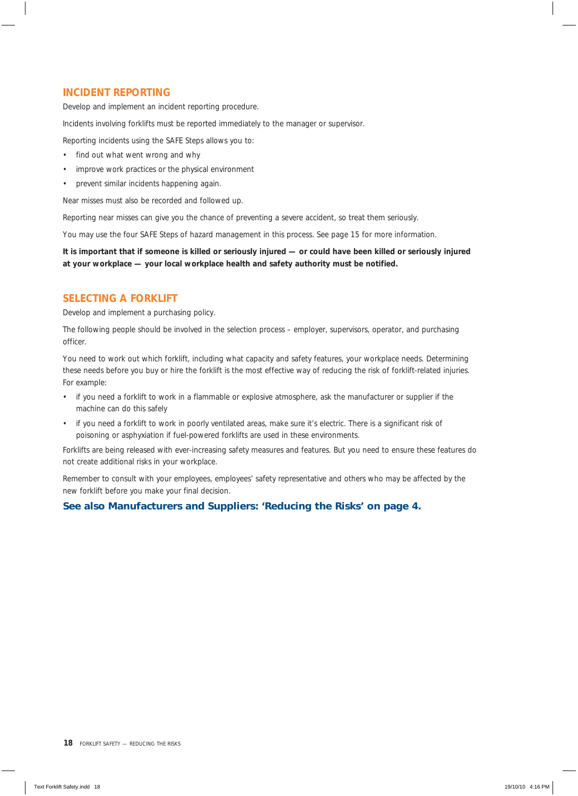## **INCIDENT REPORTING**

Develop and implement an incident reporting procedure.

Incidents involving forklifts must be reported immediately to the manager or supervisor.

Reporting incidents using the SAFE Steps allows you to:

- find out what went wrong and why
- improve work practices or the physical environment
- prevent similar incidents happening again.

Near misses must also be recorded and followed up.

Reporting near misses can give you the chance of preventing a severe accident, so treat them seriously.

You may use the four SAFE Steps of hazard management in this process. See page 15 for more information.

**It is important that if someone is killed or seriously injured — or could have been killed or seriously injured at your workplace — your local workplace health and safety authority must be notified.**

#### **SELECTING A FORKLIFT**

Develop and implement a purchasing policy.

The following people should be involved in the selection process – employer, supervisors, operator, and purchasing officer.

You need to work out which forklift, including what capacity and safety features, your workplace needs. Determining these needs before you buy or hire the forklift is the most effective way of reducing the risk of forklift-related injuries. For example:

- if you need a forklift to work in a flammable or explosive atmosphere, ask the manufacturer or supplier if the machine can do this safely
- if you need a forklift to work in poorly ventilated areas, make sure it's electric. There is a significant risk of poisoning or asphyxiation if fuel-powered forklifts are used in these environments.

Forklifts are being released with ever-increasing safety measures and features. But you need to ensure these features do not create additional risks in your workplace.

Remember to consult with your employees, employees' safety representative and others who may be affected by the new forklift before you make your final decision.

#### *See also Manufacturers and Suppliers: 'Reducing the Risks' on page 4.*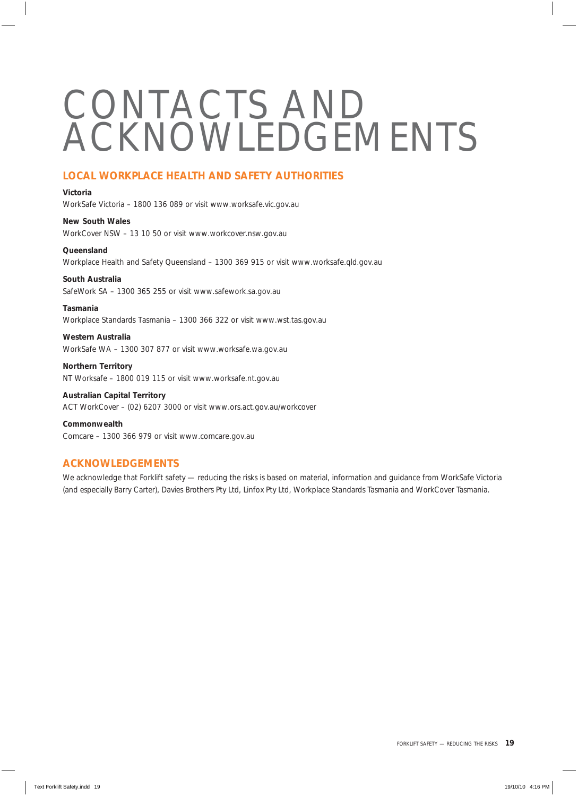## CONTACTS AND ACKNOWLEDGEMENTS

## **LOCAL WORKPLACE HEALTH AND SAFETY AUTHORITIES**

#### **Victoria**

WorkSafe Victoria – 1800 136 089 or visit www.worksafe.vic.gov.au

**New South Wales** WorkCover NSW – 13 10 50 or visit www.workcover.nsw.gov.au

**Queensland** Workplace Health and Safety Queensland – 1300 369 915 or visit www.worksafe.qld.gov.au

#### **South Australia**

SafeWork SA – 1300 365 255 or visit www.safework.sa.gov.au

#### **Tasmania**

Workplace Standards Tasmania – 1300 366 322 or visit www.wst.tas.gov.au

**Western Australia** WorkSafe WA – 1300 307 877 or visit www.worksafe.wa.gov.au

**Northern Territory** NT Worksafe – 1800 019 115 or visit www.worksafe.nt.gov.au

**Australian Capital Territory** ACT WorkCover – (02) 6207 3000 or visit www.ors.act.gov.au/workcover

**Commonwealth** Comcare – 1300 366 979 or visit www.comcare.gov.au

## **ACKNOWLEDGEMENTS**

We acknowledge that *Forklift safety — reducing the risks* is based on material, information and guidance from WorkSafe Victoria (and especially Barry Carter), Davies Brothers Pty Ltd, Linfox Pty Ltd, Workplace Standards Tasmania and WorkCover Tasmania.